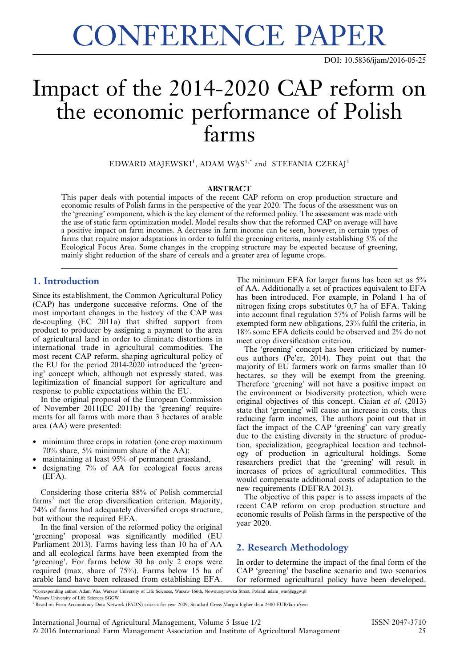# CONFERENCE PAPER

DOI: [10.5836/ijam/2016-05-25](http://dx.doi.org/10.5836/ijam/2016-05-25)

# Impact of the 2014-2020 CAP reform on the economic performance of Polish farms

 $\rm EDWARD$   $\rm M$ AJ $\rm EWSKI^1,$  ADAM  $\rm WAS^{1,*}$  and  $\rm STEFANIA$   $\rm CZEKAJ^1$ 

#### ABSTRACT

This paper deals with potential impacts of the recent CAP reform on crop production structure and economic results of Polish farms in the perspective of the year 2020. The focus of the assessment was on the 'greening' component, which is the key element of the reformed policy. The assessment was made with the use of static farm optimization model. Model results show that the reformed CAP on average will have a positive impact on farm incomes. A decrease in farm income can be seen, however, in certain types of farms that require major adaptations in order to fulfil the greening criteria, mainly establishing 5% of the Ecological Focus Area. Some changes in the cropping structure may be expected because of greening, mainly slight reduction of the share of cereals and a greater area of legume crops.

## 1. Introduction

Since its establishment, the Common Agricultural Policy (CAP) has undergone successive reforms. One of the most important changes in the history of the CAP was de-coupling (EC 2011a) that shifted support from product to producer by assigning a payment to the area of agricultural land in order to eliminate distortions in international trade in agricultural commodities. The most recent CAP reform, shaping agricultural policy of the EU for the period 2014-2020 introduced the 'greening' concept which, although not expressly stated, was legitimization of financial support for agriculture and response to public expectations within the EU.

In the original proposal of the European Commission of November 2011(EC 2011b) the 'greening' requirements for all farms with more than 3 hectares of arable area (AA) were presented:

- minimum three crops in rotation (one crop maximum 70% share, 5% minimum share of the AA);
- maintaining at least 95% of permanent grassland,
- designating 7% of AA for ecological focus areas (EFA).

Considering those criteria 88% of Polish commercial  $\text{farms}^2$  met the crop diversification criterion. Majority, 74% of farms had adequately diversified crops structure, but without the required EFA.

In the final version of the reformed policy the original 'greening' proposal was significantly modified (EU Parliament 2013). Farms having less than 10 ha of AA and all ecological farms have been exempted from the 'greening'. For farms below 30 ha only 2 crops were required (max. share of 75%). Farms below 15 ha of arable land have been released from establishing EFA.

The minimum EFA for larger farms has been set as 5% of AA. Additionally a set of practices equivalent to EFA has been introduced. For example, in Poland 1 ha of nitrogen fixing crops substitutes 0,7 ha of EFA. Taking into account final regulation 57% of Polish farms will be exempted form new obligations, 23% fulfil the criteria, in 18% some EFA deficits could be observed and 2% do not meet crop diversification criterion.

The 'greening' concept has been criticized by numerous authors (Pe'er, 2014). They point out that the majority of EU farmers work on farms smaller than 10 hectares, so they will be exempt from the greening. Therefore 'greening' will not have a positive impact on the environment or biodiversity protection, which were original objectives of this concept. Ciaian et al. (2013) state that 'greening' will cause an increase in costs, thus reducing farm incomes. The authors point out that in fact the impact of the CAP 'greening' can vary greatly due to the existing diversity in the structure of production, specialization, geographical location and technology of production in agricultural holdings. Some researchers predict that the 'greening' will result in increases of prices of agricultural commodities. This would compensate additional costs of adaptation to the new requirements (DEFRA 2013).

The objective of this paper is to assess impacts of the recent CAP reform on crop production structure and economic results of Polish farms in the perspective of the year 2020.

## 2. Research Methodology

In order to determine the impact of the final form of the CAP 'greening' the baseline scenario and two scenarios for reformed agricultural policy have been developed.

\*Corresponding author. Adam Was, Warsaw University of Life Sciences, Warsaw 166th, Nowoursynowka Street, Poland. adam\_was@sggw.pl <sup>1</sup>Warsaw University of Life Sciences SGGW.

<sup>&</sup>lt;sup>2</sup> Based on Farm Accountancy Data Network (FADN) criteria for year 2009, Standard Gross Margin higher than 2400 EUR/farm/year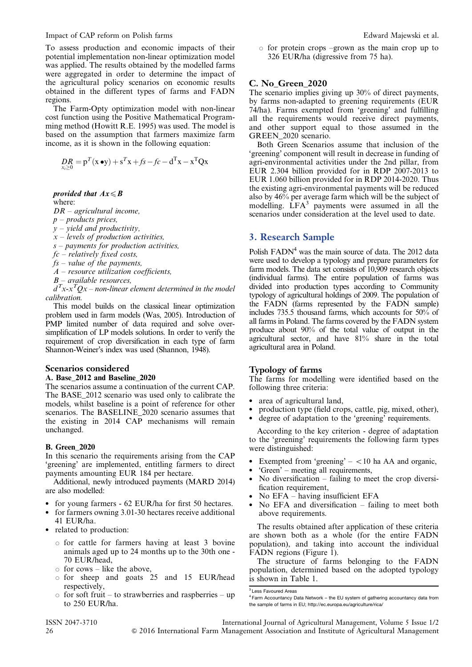Impact of CAP reform on Polish farms **Edward Majewski et al.** Edward Majewski et al.

To assess production and economic impacts of their potential implementation non-linear optimization model was applied. The results obtained by the modelled farms were aggregated in order to determine the impact of the agricultural policy scenarios on economic results obtained in the different types of farms and FADN regions.

The Farm-Opty optimization model with non-linear cost function using the Positive Mathematical Programming method (Howitt R.E. 1995) was used. The model is based on the assumption that farmers maximize farm income, as it is shown in the following equation:

$$
DR_{x_i \geq 0} = p^T(x \bullet y) + s^T x + fs - fc - d^T x - x^T Q x
$$

provided that  $Ax \leq B$ where:

 $DR - agricultural$  income,

 $p$  – products prices,

 $y$  – yield and productivity,

 $x$  – levels of production activities,

 $s$  – payments for production activities,

 $fc$  – relatively fixed costs,

 $fs$  – value of the payments,

 $A$  – resource utilization coefficients,

 $B$  – available resources.

 $d^Tx$ -x $^TQx$  – non-linear element determined in the model calibration.

This model builds on the classical linear optimization problem used in farm models (Was, 2005). Introduction of PMP limited number of data required and solve oversimplification of LP models solutions. In order to verify the requirement of crop diversification in each type of farm Shannon-Weiner's index was used (Shannon, 1948).

#### Scenarios considered

#### A. Base\_2012 and Baseline\_2020

The scenarios assume a continuation of the current CAP. The BASE\_2012 scenario was used only to calibrate the models, whilst baseline is a point of reference for other scenarios. The BASELINE\_2020 scenario assumes that the existing in 2014 CAP mechanisms will remain unchanged.

#### B. Green\_2020

In this scenario the requirements arising from the CAP 'greening' are implemented, entitling farmers to direct payments amounting EUR 184 per hectare.

Additional, newly introduced payments (MARD 2014) are also modelled:

- for young farmers 62 EUR/ha for first 50 hectares.
- for farmers owning 3.01-30 hectares receive additional 41 EUR/ha.
- related to production:
	- $\circ$  for cattle for farmers having at least 3 bovine animals aged up to 24 months up to the 30th one - 70 EUR/head,
	- $\circ$  for cows like the above,
	- $\circ$  for sheep and goats 25 and 15 EUR/head respectively,
	- $\circ$  for soft fruit to strawberries and raspberries up to 250 EUR/ha.

 $\circ$  for protein crops –grown as the main crop up to 326 EUR/ha (digressive from 75 ha).

#### C. No\_Green\_2020

The scenario implies giving up 30% of direct payments, by farms non-adapted to greening requirements (EUR 74/ha). Farms exempted from 'greening' and fulfilling all the requirements would receive direct payments, and other support equal to those assumed in the GREEN\_2020 scenario.

Both Green Scenarios assume that inclusion of the 'greening' component will result in decrease in funding of agri-environmental activities under the 2nd pillar, from EUR 2.304 billion provided for in RDP 2007-2013 to EUR 1.060 billion provided for in RDP 2014-2020. Thus the existing agri-environmental payments will be reduced also by 46% per average farm which will be the subject of modelling.  $LFA<sup>3</sup>$  payments were assumed in all the scenarios under consideration at the level used to date.

## 3. Research Sample

Polish  $FADN<sup>4</sup>$  was the main source of data. The 2012 data were used to develop a typology and prepare parameters for farm models. The data set consists of 10,909 research objects (individual farms). The entire population of farms was divided into production types according to Community typology of agricultural holdings of 2009. The population of the FADN (farms represented by the FADN sample) includes 735.5 thousand farms, which accounts for 50% of all farms in Poland. The farms covered by the FADN system produce about 90% of the total value of output in the agricultural sector, and have 81% share in the total agricultural area in Poland.

#### Typology of farms

The farms for modelling were identified based on the following three criteria:

- area of agricultural land,
- production type (field crops, cattle, pig, mixed, other),
- degree of adaptation to the 'greening' requirements.

According to the key criterion - degree of adaptation to the 'greening' requirements the following farm types were distinguished:

- Exempted from 'greening'  $-$  <10 ha AA and organic,
- 'Green' meeting all requirements,
- No diversification failing to meet the crop diversification requirement,
- No EFA having insufficient EFA
- No EFA and diversification failing to meet both above requirements.

The results obtained after application of these criteria are shown both as a whole (for the entire FADN population), and taking into account the individual FADN regions [\(Figure 1\)](#page-2-0).

The structure of farms belonging to the FADN population, determined based on the adopted typology is shown in [Table 1](#page-2-0).

<sup>&</sup>lt;sup>3</sup> Less Favoured Areas

<sup>4</sup> Farm Accountancy Data Network – the EU system of gathering accountancy data from the sample of farms in EU; http://ec.europa.eu/agriculture/rica/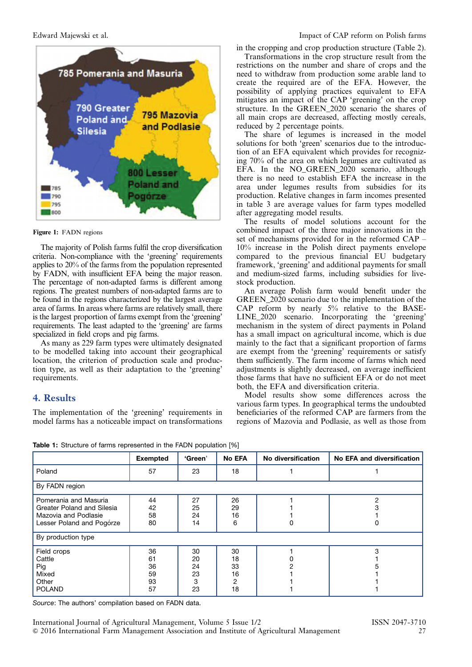<span id="page-2-0"></span>

Figure 1: FADN regions

The majority of Polish farms fulfil the crop diversification criteria. Non-compliance with the 'greening' requirements applies to 20% of the farms from the population represented by FADN, with insufficient EFA being the major reason. The percentage of non-adapted farms is different among regions. The greatest numbers of non-adapted farms are to be found in the regions characterized by the largest average area of farms. In areas where farms are relatively small, there is the largest proportion of farms exempt from the 'greening' requirements. The least adapted to the 'greening' are farms specialized in field crops and pig farms.

As many as 229 farm types were ultimately designated to be modelled taking into account their geographical location, the criterion of production scale and production type, as well as their adaptation to the 'greening' requirements.

# 4. Results

The implementation of the 'greening' requirements in model farms has a noticeable impact on transformations in the cropping and crop production structure [\(Table 2\)](#page-3-0).

Transformations in the crop structure result from the restrictions on the number and share of crops and the need to withdraw from production some arable land to create the required are of the EFA. However, the possibility of applying practices equivalent to EFA mitigates an impact of the CAP 'greening' on the crop structure. In the GREEN 2020 scenario the shares of all main crops are decreased, affecting mostly cereals, reduced by 2 percentage points.

The share of legumes is increased in the model solutions for both 'green' scenarios due to the introduction of an EFA equivalent which provides for recognizing 70% of the area on which legumes are cultivated as EFA. In the NO\_GREEN\_2020 scenario, although there is no need to establish EFA the increase in the area under legumes results from subsidies for its production. Relative changes in farm incomes presented in [table 3](#page-3-0) are average values for farm types modelled after aggregating model results.

The results of model solutions account for the combined impact of the three major innovations in the set of mechanisms provided for in the reformed CAP – 10% increase in the Polish direct payments envelope compared to the previous financial EU budgetary framework, 'greening' and additional payments for small and medium-sized farms, including subsidies for livestock production.

An average Polish farm would benefit under the GREEN\_2020 scenario due to the implementation of the CAP reform by nearly 5% relative to the BASE-LINE\_2020 scenario. Incorporating the 'greening' mechanism in the system of direct payments in Poland has a small impact on agricultural income, which is due mainly to the fact that a significant proportion of farms are exempt from the 'greening' requirements or satisfy them sufficiently. The farm income of farms which need adjustments is slightly decreased, on average inefficient those farms that have no sufficient EFA or do not meet both, the EFA and diversification criteria.

Model results show some differences across the various farm types. In geographical terms the undoubted beneficiaries of the reformed CAP are farmers from the regions of Mazovia and Podlasie, as well as those from

|                                                                                                          | <b>Exempted</b>                  | 'Green'                         | No EFA                                       | No diversification | No EFA and diversification |  |  |
|----------------------------------------------------------------------------------------------------------|----------------------------------|---------------------------------|----------------------------------------------|--------------------|----------------------------|--|--|
| Poland                                                                                                   | 57                               | 23                              | 18                                           |                    |                            |  |  |
| By FADN region                                                                                           |                                  |                                 |                                              |                    |                            |  |  |
| Pomerania and Masuria<br>Greater Poland and Silesia<br>Mazovia and Podlasie<br>Lesser Poland and Pogórze | 44<br>42<br>58<br>80             | 27<br>25<br>24<br>14            | 26<br>29<br>16<br>6                          |                    | っ                          |  |  |
| By production type                                                                                       |                                  |                                 |                                              |                    |                            |  |  |
| Field crops<br>Cattle<br>Pig<br>Mixed<br>Other<br><b>POLAND</b>                                          | 36<br>61<br>36<br>59<br>93<br>57 | 30<br>20<br>24<br>23<br>3<br>23 | 30<br>18<br>33<br>16<br>$\overline{2}$<br>18 |                    | 3                          |  |  |

Table 1: Structure of farms represented in the FADN population [%]

Source: The authors' compilation based on FADN data.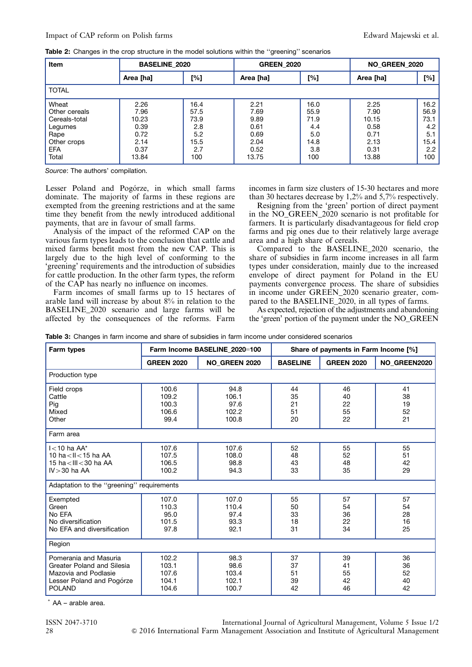<span id="page-3-0"></span>Table 2: Changes in the crop structure in the model solutions within the "greening" scenarios

| Item                                                                                             | <b>BASELINE 2020</b>                                           |                                                          | <b>GREEN 2020</b>                                             |                                                          | <b>NO_GREEN_2020</b>                                           |                                                          |
|--------------------------------------------------------------------------------------------------|----------------------------------------------------------------|----------------------------------------------------------|---------------------------------------------------------------|----------------------------------------------------------|----------------------------------------------------------------|----------------------------------------------------------|
|                                                                                                  | Area [ha]                                                      | [%]                                                      | Area [ha]                                                     | [%]                                                      | Area [ha]                                                      | [%]                                                      |
| <b>TOTAL</b>                                                                                     |                                                                |                                                          |                                                               |                                                          |                                                                |                                                          |
| Wheat<br>Other cereals<br>Cereals-total<br>Legumes<br>Rape<br>Other crops<br><b>EFA</b><br>Total | 2.26<br>7.96<br>10.23<br>0.39<br>0.72<br>2.14<br>0.37<br>13.84 | 16.4<br>57.5<br>73.9<br>2.8<br>5.2<br>15.5<br>2.7<br>100 | 2.21<br>7.69<br>9.89<br>0.61<br>0.69<br>2.04<br>0.52<br>13.75 | 16.0<br>55.9<br>71.9<br>4.4<br>5.0<br>14.8<br>3.8<br>100 | 2.25<br>7.90<br>10.15<br>0.58<br>0.71<br>2.13<br>0.31<br>13.88 | 16.2<br>56.9<br>73.1<br>4.2<br>5.1<br>15.4<br>2.2<br>100 |

Source: The authors' compilation.

Lesser Poland and Pogórze, in which small farms dominate. The majority of farms in these regions are exempted from the greening restrictions and at the same time they benefit from the newly introduced additional payments, that are in favour of small farms.

Analysis of the impact of the reformed CAP on the various farm types leads to the conclusion that cattle and mixed farms benefit most from the new CAP. This is largely due to the high level of conforming to the 'greening' requirements and the introduction of subsidies for cattle production. In the other farm types, the reform of the CAP has nearly no influence on incomes.

Farm incomes of small farms up to 15 hectares of arable land will increase by about  $8\%$  in relation to the BASELINE\_2020 scenario and large farms will be affected by the consequences of the reforms. Farm incomes in farm size clusters of 15-30 hectares and more than 30 hectares decrease by 1,2% and 5,7% respectively.

Resigning from the 'green' portion of direct payment in the NO\_GREEN\_2020 scenario is not profitable for farmers. It is particularly disadvantageous for field crop farms and pig ones due to their relatively large average area and a high share of cereals.

Compared to the BASELINE\_2020 scenario, the share of subsidies in farm income increases in all farm types under consideration, mainly due to the increased envelope of direct payment for Poland in the EU payments convergence process. The share of subsidies in income under GREEN\_2020 scenario greater, compared to the BASELINE 2020, in all types of farms.

As expected, rejection of the adjustments and abandoning the 'green' portion of the payment under the NO\_GREEN

Table 3: Changes in farm income and share of subsidies in farm income under considered scenarios

| Farm types                                                                                                                                                            |                                                            | Farm Income BASELINE 2020=100                            | Share of payments in Farm Income [%]   |                                        |                                        |  |  |  |
|-----------------------------------------------------------------------------------------------------------------------------------------------------------------------|------------------------------------------------------------|----------------------------------------------------------|----------------------------------------|----------------------------------------|----------------------------------------|--|--|--|
|                                                                                                                                                                       | <b>GREEN 2020</b>                                          | <b>NO_GREEN 2020</b>                                     | <b>BASELINE</b>                        | <b>GREEN 2020</b>                      | NO_GREEN2020                           |  |  |  |
| Production type                                                                                                                                                       |                                                            |                                                          |                                        |                                        |                                        |  |  |  |
| Field crops<br>Cattle<br>Pig<br>Mixed<br>Other                                                                                                                        | 100.6<br>109.2<br>100.3<br>106.6<br>99.4                   | 94.8<br>106.1<br>97.6<br>102.2<br>100.8                  | 44<br>35<br>21<br>51<br>20             | 46<br>40<br>22<br>55<br>22             | 41<br>38<br>19<br>52<br>21             |  |  |  |
| Farm area                                                                                                                                                             |                                                            |                                                          |                                        |                                        |                                        |  |  |  |
| $I$ < 10 ha AA*<br>10 ha $<$ II $<$ 15 ha AA<br>15 ha < III < 30 ha AA<br>$IV > 30$ ha AA<br>Adaptation to the "greening" requirements<br>Exempted<br>Green<br>No EFA | 107.6<br>107.5<br>106.5<br>100.2<br>107.0<br>110.3<br>95.0 | 107.6<br>108.0<br>98.8<br>94.3<br>107.0<br>110.4<br>97.4 | 52<br>48<br>43<br>33<br>55<br>50<br>33 | 55<br>52<br>48<br>35<br>57<br>54<br>36 | 55<br>51<br>42<br>29<br>57<br>54<br>28 |  |  |  |
| No diversification<br>No EFA and diversification                                                                                                                      | 101.5<br>97.8                                              | 93.3<br>92.1                                             | 18<br>31                               | 22<br>34                               | 16<br>25                               |  |  |  |
| Region                                                                                                                                                                |                                                            |                                                          |                                        |                                        |                                        |  |  |  |
| Pomerania and Masuria<br>Greater Poland and Silesia<br>Mazovia and Podlasie<br>Lesser Poland and Pogórze<br><b>POLAND</b>                                             | 102.2<br>103.1<br>107.6<br>104.1<br>104.6                  | 98.3<br>98.6<br>103.4<br>102.1<br>100.7                  | 37<br>37<br>51<br>39<br>42             | 39<br>41<br>55<br>42<br>46             | 36<br>36<br>52<br>40<br>42             |  |  |  |

\* AA – arable area.

ISSN 2047-3710 International Journal of Agricultural Management, Volume 5 Issue 1/2 28 & 2016 International Farm Management Association and Institute of Agricultural Management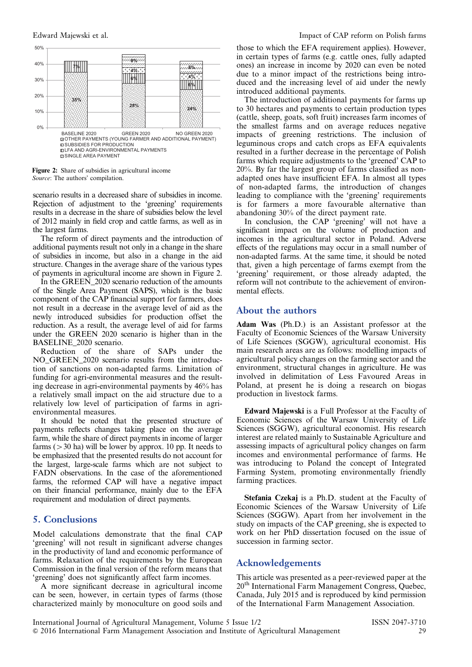

Figure 2: Share of subsidies in agricultural income Source: The authors' compilation.

scenario results in a decreased share of subsidies in income. Rejection of adjustment to the 'greening' requirements results in a decrease in the share of subsidies below the level of 2012 mainly in field crop and cattle farms, as well as in the largest farms.

The reform of direct payments and the introduction of additional payments result not only in a change in the share of subsidies in income, but also in a change in the aid structure. Changes in the average share of the various types of payments in agricultural income are shown in Figure 2.

In the GREEN\_2020 scenario reduction of the amounts of the Single Area Payment (SAPS), which is the basic component of the CAP financial support for farmers, does not result in a decrease in the average level of aid as the newly introduced subsidies for production offset the reduction. As a result, the average level of aid for farms under the GREEN 2020 scenario is higher than in the BASELINE\_2020 scenario.

Reduction of the share of SAPs under the NO\_GREEN\_2020 scenario results from the introduction of sanctions on non-adapted farms. Limitation of funding for agri-environmental measures and the resulting decrease in agri-environmental payments by 46% has a relatively small impact on the aid structure due to a relatively low level of participation of farms in agrienvironmental measures.

It should be noted that the presented structure of payments reflects changes taking place on the average farm, while the share of direct payments in income of larger farms ( $>$ 30 ha) will be lower by approx. 10 pp. It needs to be emphasized that the presented results do not account for the largest, large-scale farms which are not subject to FADN observations. In the case of the aforementioned farms, the reformed CAP will have a negative impact on their financial performance, mainly due to the EFA requirement and modulation of direct payments.

# 5. Conclusions

Model calculations demonstrate that the final CAP 'greening' will not result in significant adverse changes in the productivity of land and economic performance of farms. Relaxation of the requirements by the European Commission in the final version of the reform means that 'greening' does not significantly affect farm incomes.

A more significant decrease in agricultural income can be seen, however, in certain types of farms (those characterized mainly by monoculture on good soils and

those to which the EFA requirement applies). However, in certain types of farms (e.g. cattle ones, fully adapted ones) an increase in income by 2020 can even be noted due to a minor impact of the restrictions being introduced and the increasing level of aid under the newly introduced additional payments.

The introduction of additional payments for farms up to 30 hectares and payments to certain production types (cattle, sheep, goats, soft fruit) increases farm incomes of the smallest farms and on average reduces negative impacts of greening restrictions. The inclusion of leguminous crops and catch crops as EFA equivalents resulted in a further decrease in the percentage of Polish farms which require adjustments to the 'greened' CAP to 20%. By far the largest group of farms classified as nonadapted ones have insufficient EFA. In almost all types of non-adapted farms, the introduction of changes leading to compliance with the 'greening' requirements is for farmers a more favourable alternative than abandoning 30% of the direct payment rate.

In conclusion, the CAP 'greening' will not have a significant impact on the volume of production and incomes in the agricultural sector in Poland. Adverse effects of the regulations may occur in a small number of non-adapted farms. At the same time, it should be noted that, given a high percentage of farms exempt from the 'greening' requirement, or those already adapted, the reform will not contribute to the achievement of environmental effects.

# About the authors

Adam Was (Ph.D.) is an Assistant professor at the Faculty of Economic Sciences of the Warsaw University of Life Sciences (SGGW), agricultural economist. His main research areas are as follows: modelling impacts of agricultural policy changes on the farming sector and the environment, structural changes in agriculture. He was involved in delimitation of Less Favoured Areas in Poland, at present he is doing a research on biogas production in livestock farms.

Edward Majewski is a Full Professor at the Faculty of Economic Sciences of the Warsaw University of Life Sciences (SGGW), agricultural economist. His research interest are related mainly to Sustainable Agriculture and assessing impacts of agricultural policy changes on farm incomes and environmental performance of farms. He was introducing to Poland the concept of Integrated Farming System, promoting environmentally friendly farming practices.

Stefania Czekaj is a Ph.D. student at the Faculty of Economic Sciences of the Warsaw University of Life Sciences (SGGW). Apart from her involvement in the study on impacts of the CAP greening, she is expected to work on her PhD dissertation focused on the issue of succession in farming sector.

#### Acknowledgements

This article was presented as a peer-reviewed paper at the 20<sup>th</sup> International Farm Management Congress, Quebec, Canada, July 2015 and is reproduced by kind permission of the International Farm Management Association.